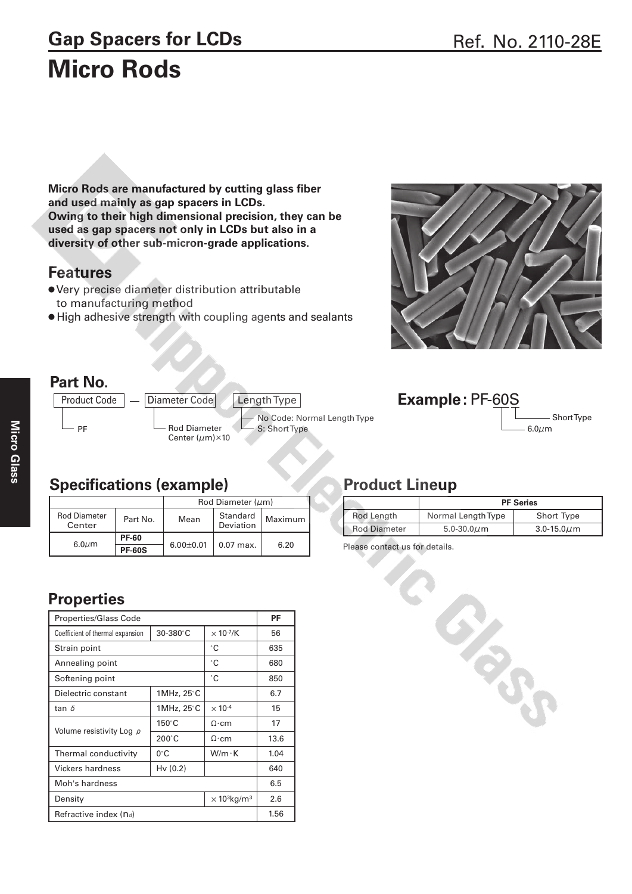# Gap Spacers for LCDs<br>Ref. No. 2110-28E **Micro Rods**

**Micro Rods are manufactured by cutting glass fiber and used mainly as gap spacers in LCDs. Owing to their high dimensional precision, they can be used as gap spacers not only in LCDs but also in a diversity of other sub-micron-grade applications.**

#### **Features**

- Very precise diameter distribution attributable to manufacturing method
- High adhesive strength with coupling agents and sealants







#### **Specifications (example)**

|                               |               | Rod Diameter $(\mu m)$ |                       |         |
|-------------------------------|---------------|------------------------|-----------------------|---------|
| <b>Rod Diameter</b><br>Center | Part No.      | Mean                   | Standard<br>Deviation | Maximum |
| $6.0 \mu m$                   | <b>PF-60</b>  | $6.00 \pm 0.01$        | $0.07$ max.           |         |
|                               | <b>PF-60S</b> |                        |                       | 6.20    |

## **Properties**

| <b>Properties/Glass Code</b>     |                 |                                            | PF   |
|----------------------------------|-----------------|--------------------------------------------|------|
| Coefficient of thermal expansion | $30 - 380$ °C   | $\times$ 10 $\cdot$ <sup>7</sup> /K        | 56   |
| Strain point                     | ۰C              | 635                                        |      |
| Annealing point                  |                 | °C                                         | 680  |
| Softening point                  |                 | °C                                         | 850  |
| Dielectric constant              | 1MHz, 25°C      |                                            | 6.7  |
| tan $\delta$                     | 1MHz, 25°C      | $\times$ 10 <sup>-4</sup>                  | 15   |
| Volume resistivity Log p         | $150^{\circ}$ C | $\Omega$ ·cm                               | 17   |
|                                  | $200^{\circ}$ C | Ω∙cm                                       | 13.6 |
| Thermal conductivity             | $0^{\circ}$ C   | $W/m \cdot K$                              | 1.04 |
| Vickers hardness                 | Hv(0.2)         |                                            | 640  |
| Moh's hardness                   | 6.5             |                                            |      |
| Density                          |                 | $\times$ 10 <sup>3</sup> kg/m <sup>3</sup> | 2.6  |
| Refractive index (nd)            |                 |                                            | 1.56 |

#### **Product Lineup**

|                     | <b>PF Series</b>   |                  |  |
|---------------------|--------------------|------------------|--|
| Rod Length          | Normal Length Type | Short Type       |  |
| <b>Rod Diameter</b> | 5.0-30.0 $\mu$ m   | 3.0-15.0 $\mu$ m |  |

Please contact us for details.